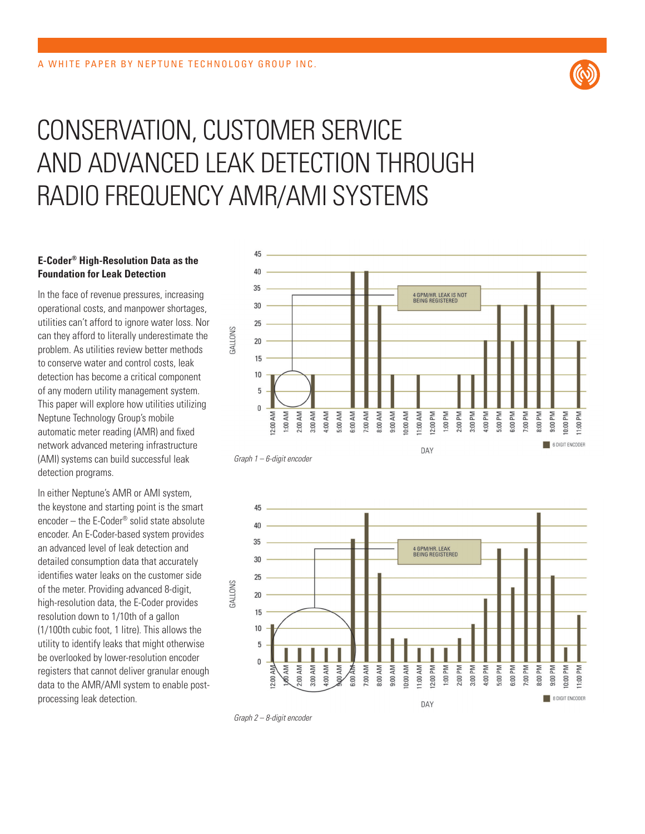# CONSERVATION, CUSTOMER SERVICE AND ADVANCED LEAK DETECTION THROUGH RADIO FREQUENCY AMR/AMI SYSTEMS

### **E-Coder® High-Resolution Data as the Foundation for Leak Detection**

In the face of revenue pressures, increasing operational costs, and manpower shortages, utilities can't afford to ignore water loss. Nor can they afford to literally underestimate the problem. As utilities review better methods to conserve water and control costs, leak detection has become a critical component of any modern utility management system. This paper will explore how utilities utilizing Neptune Technology Group's mobile automatic meter reading (AMR) and fixed network advanced metering infrastructure (AMI) systems can build successful leak detection programs.

In either Neptune's AMR or AMI system, the keystone and starting point is the smart encoder – the E-Coder® solid state absolute encoder. An E-Coder-based system provides an advanced level of leak detection and detailed consumption data that accurately identifies water leaks on the customer side of the meter. Providing advanced 8-digit, high-resolution data, the E-Coder provides resolution down to 1/10th of a gallon (1/100th cubic foot, 1 litre). This allows the utility to identify leaks that might otherwise be overlooked by lower-resolution encoder registers that cannot deliver granular enough data to the AMR/AMI system to enable postprocessing leak detection.





*Graph 2 – 8-digit encoder*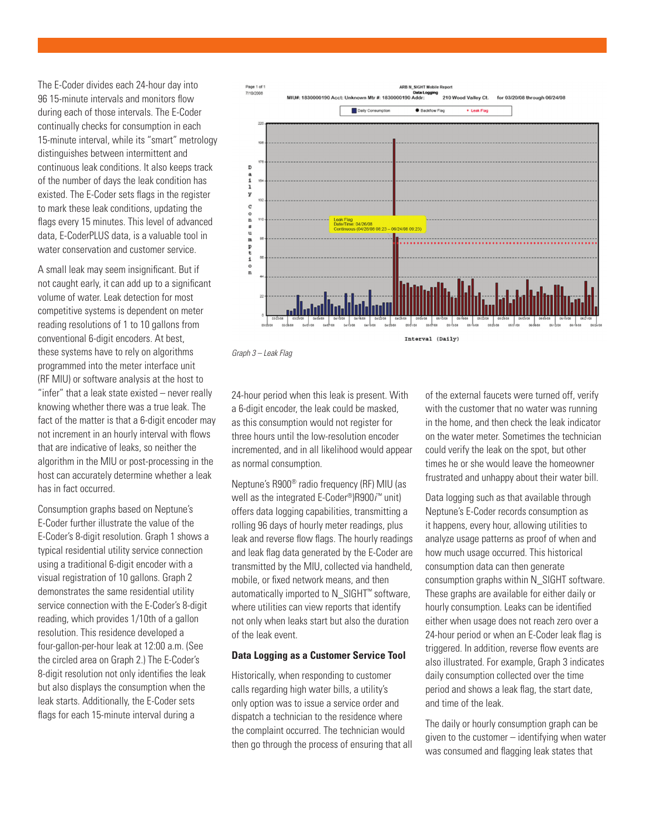The E-Coder divides each 24-hour day into 96 15-minute intervals and monitors flow during each of those intervals. The E-Coder continually checks for consumption in each 15-minute interval, while its "smart" metrology distinguishes between intermittent and continuous leak conditions. It also keeps track of the number of days the leak condition has existed. The E-Coder sets flags in the register to mark these leak conditions, updating the flags every 15 minutes. This level of advanced data, E-CoderPLUS data, is a valuable tool in water conservation and customer service.

A small leak may seem insignificant. But if not caught early, it can add up to a significant volume of water. Leak detection for most competitive systems is dependent on meter reading resolutions of 1 to 10 gallons from conventional 6-digit encoders. At best, these systems have to rely on algorithms programmed into the meter interface unit (RF MIU) or software analysis at the host to "infer" that a leak state existed – never really knowing whether there was a true leak. The fact of the matter is that a 6-digit encoder may not increment in an hourly interval with flows that are indicative of leaks, so neither the algorithm in the MIU or post-processing in the host can accurately determine whether a leak has in fact occurred.

Consumption graphs based on Neptune's E-Coder further illustrate the value of the E-Coder's 8-digit resolution. Graph 1 shows a typical residential utility service connection using a traditional 6-digit encoder with a visual registration of 10 gallons. Graph 2 demonstrates the same residential utility service connection with the E-Coder's 8-digit reading, which provides 1/10th of a gallon resolution. This residence developed a four-gallon-per-hour leak at 12:00 a.m. (See the circled area on Graph 2.) The E-Coder's 8-digit resolution not only identifies the leak but also displays the consumption when the leak starts. Additionally, the E-Coder sets flags for each 15-minute interval during a



*Graph 3 – Leak Flag*

24-hour period when this leak is present. With a 6-digit encoder, the leak could be masked, as this consumption would not register for three hours until the low-resolution encoder incremented, and in all likelihood would appear as normal consumption.

Neptune's R900® radio frequency (RF) MIU (as well as the integrated E-Coder®)R900*i* ™ unit) offers data logging capabilities, transmitting a rolling 96 days of hourly meter readings, plus leak and reverse flow flags. The hourly readings and leak flag data generated by the E-Coder are transmitted by the MIU, collected via handheld, mobile, or fixed network means, and then automatically imported to N\_SIGHT™ software, where utilities can view reports that identify not only when leaks start but also the duration of the leak event.

#### **Data Logging as a Customer Service Tool**

Historically, when responding to customer calls regarding high water bills, a utility's only option was to issue a service order and dispatch a technician to the residence where the complaint occurred. The technician would then go through the process of ensuring that all of the external faucets were turned off, verify with the customer that no water was running in the home, and then check the leak indicator on the water meter. Sometimes the technician could verify the leak on the spot, but other times he or she would leave the homeowner frustrated and unhappy about their water bill.

Data logging such as that available through Neptune's E-Coder records consumption as it happens, every hour, allowing utilities to analyze usage patterns as proof of when and how much usage occurred. This historical consumption data can then generate consumption graphs within N\_SIGHT software. These graphs are available for either daily or hourly consumption. Leaks can be identified either when usage does not reach zero over a 24-hour period or when an E-Coder leak flag is triggered. In addition, reverse flow events are also illustrated. For example, Graph 3 indicates daily consumption collected over the time period and shows a leak flag, the start date, and time of the leak.

The daily or hourly consumption graph can be given to the customer – identifying when water was consumed and flagging leak states that